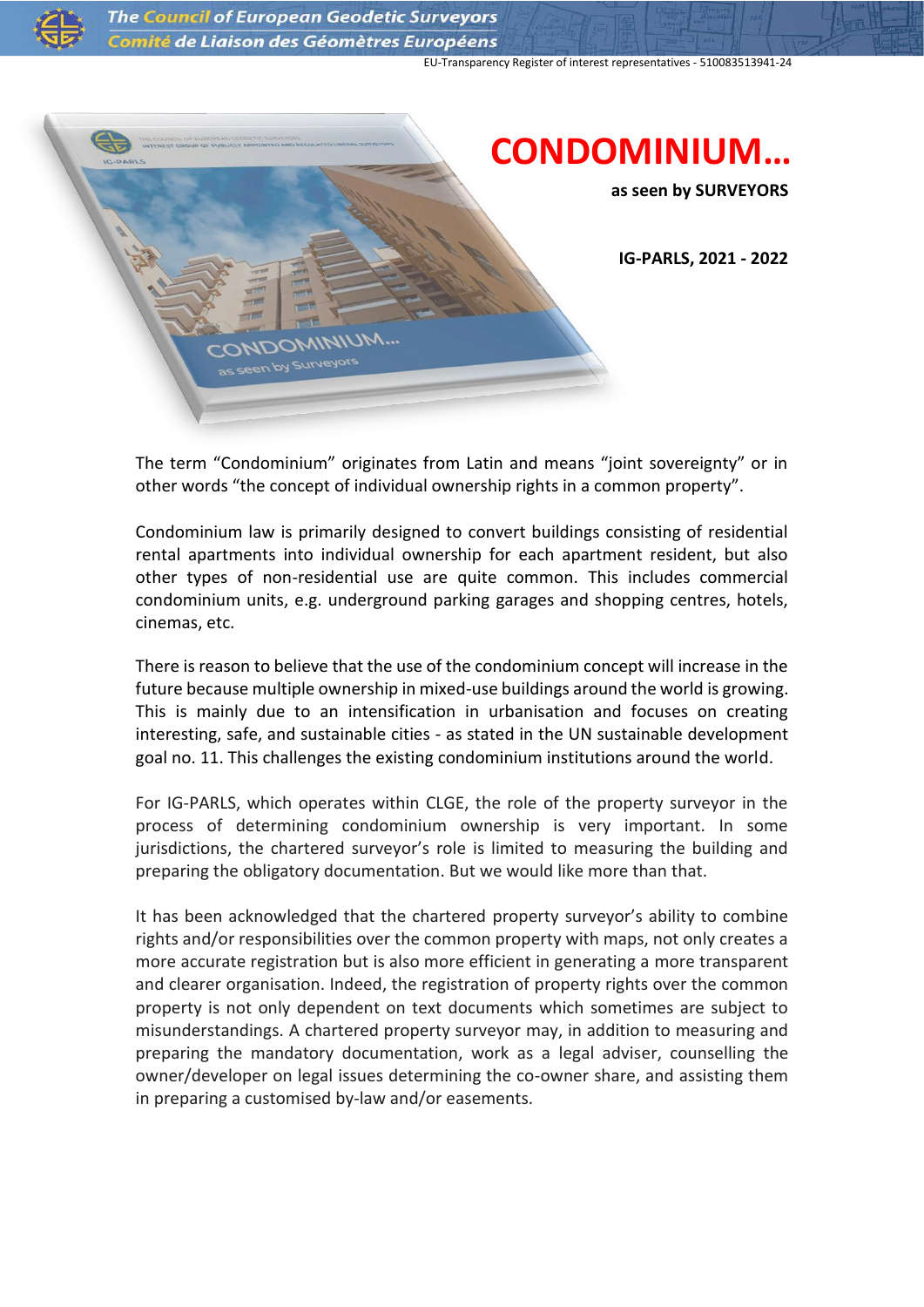

The Council of European Geodetic Surveyors Comité de Liaison des Géomètres Européens

EU-Transparency Register of interest representatives - 510083513941-24



The term "Condominium" originates from Latin and means "joint sovereignty" or in other words "the concept of individual ownership rights in a common property".

Condominium law is primarily designed to convert buildings consisting of residential rental apartments into individual ownership for each apartment resident, but also other types of non-residential use are quite common. This includes commercial condominium units, e.g. underground parking garages and shopping centres, hotels, cinemas, etc.

There is reason to believe that the use of the condominium concept will increase in the future because multiple ownership in mixed-use buildings around the world is growing. This is mainly due to an intensification in urbanisation and focuses on creating interesting, safe, and sustainable cities - as stated in the UN sustainable development goal no. 11. This challenges the existing condominium institutions around the world.

For IG-PARLS, which operates within CLGE, the role of the property surveyor in the process of determining condominium ownership is very important. In some jurisdictions, the chartered surveyor's role is limited to measuring the building and preparing the obligatory documentation. But we would like more than that.

It has been acknowledged that the chartered property surveyor's ability to combine rights and/or responsibilities over the common property with maps, not only creates a more accurate registration but is also more efficient in generating a more transparent and clearer organisation. Indeed, the registration of property rights over the common property is not only dependent on text documents which sometimes are subject to misunderstandings. A chartered property surveyor may, in addition to measuring and preparing the mandatory documentation, work as a legal adviser, counselling the owner/developer on legal issues determining the co-owner share, and assisting them in preparing a customised by-law and/or easements.